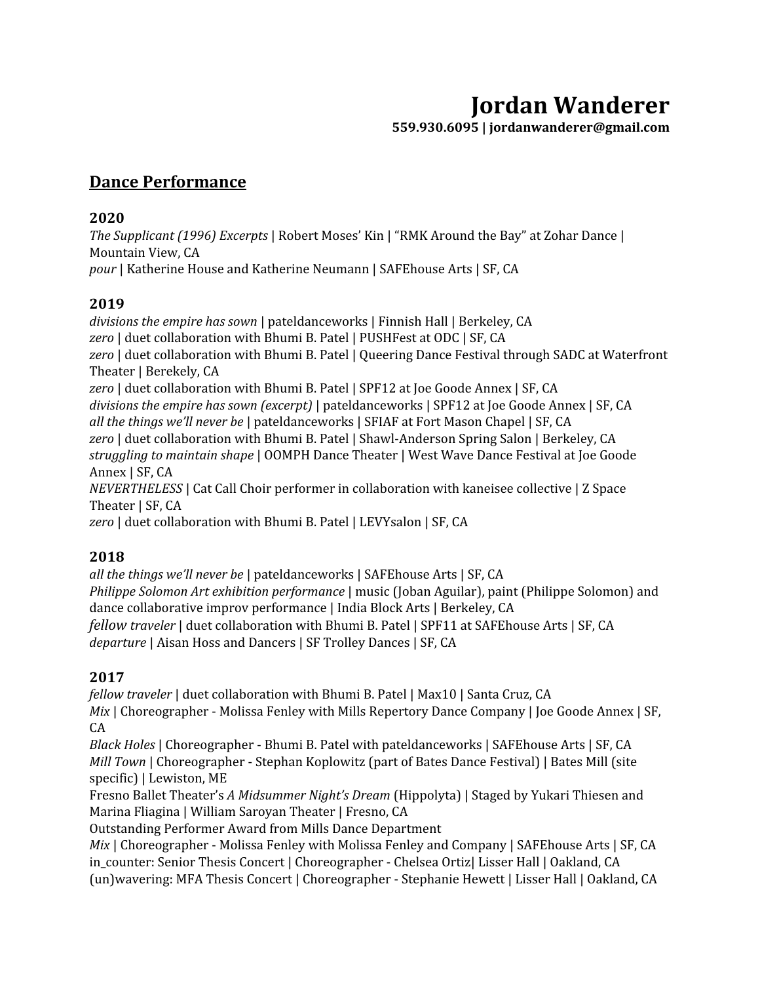# **Jordan Wanderer**

**559.930.6095 | jordanwanderer@gmail.com**

# **Dance Performance**

#### **2020**

*The Supplicant (1996) Excerpts* | Robert Moses' Kin | "RMK Around the Bay" at Zohar Dance | Mountain View, CA *pour* | Katherine House and Katherine Neumann | SAFEhouse Arts | SF, CA

#### **2019**

*divisions the empire has sown* | pateldanceworks | Finnish Hall | Berkeley, CA *zero* | duet collaboration with Bhumi B. Patel | PUSHFest at ODC | SF, CA *zero* | duet collaboration with Bhumi B. Patel | Queering Dance Festival through SADC at Waterfront Theater | Berekely, CA *zero* | duet collaboration with Bhumi B. Patel | SPF12 at Joe Goode Annex | SF, CA *divisions the empire has sown (excerpt)* | pateldanceworks | SPF12 at Joe Goode Annex | SF, CA *all the things we'll never be* | pateldanceworks | SFIAF at Fort Mason Chapel | SF, CA *zero* | duet collaboration with Bhumi B. Patel | Shawl-Anderson Spring Salon | Berkeley, CA *struggling to maintain shape* | OOMPH Dance Theater | West Wave Dance Festival at Joe Goode Annex | SF, CA *NEVERTHELESS* | Cat Call Choir performer in collaboration with kaneisee collective | Z Space Theater | SF, CA

*zero* | duet collaboration with Bhumi B. Patel | LEVYsalon | SF, CA

# **2018**

*all the things we'll never be* | pateldanceworks | SAFEhouse Arts | SF, CA *Philippe Solomon Art exhibition performance* | music (Joban Aguilar), paint (Philippe Solomon) and dance collaborative improv performance | India Block Arts | Berkeley, CA *fellow traveler* | duet collaboration with Bhumi B. Patel | SPF11 at SAFEhouse Arts | SF, CA *departure* | Aisan Hoss and Dancers | SF Trolley Dances | SF, CA

# **2017**

*fellow traveler* | duet collaboration with Bhumi B. Patel | Max10 | Santa Cruz, CA *Mix* | Choreographer - Molissa Fenley with Mills Repertory Dance Company | Joe Goode Annex | SF, CA

*Black Holes* | Choreographer - Bhumi B. Patel with pateldanceworks | SAFEhouse Arts | SF, CA *Mill Town* | Choreographer - Stephan Koplowitz (part of Bates Dance Festival) | Bates Mill (site specific) | Lewiston, ME

Fresno Ballet Theater's *A Midsummer Night's Dream* (Hippolyta) | Staged by Yukari Thiesen and Marina Fliagina | William Saroyan Theater | Fresno, CA

Outstanding Performer Award from Mills Dance Department

*Mix* | Choreographer - Molissa Fenley with Molissa Fenley and Company | SAFEhouse Arts | SF, CA in\_counter: Senior Thesis Concert | Choreographer - Chelsea Ortiz| Lisser Hall | Oakland, CA (un)wavering: MFA Thesis Concert | Choreographer - Stephanie Hewett | Lisser Hall | Oakland, CA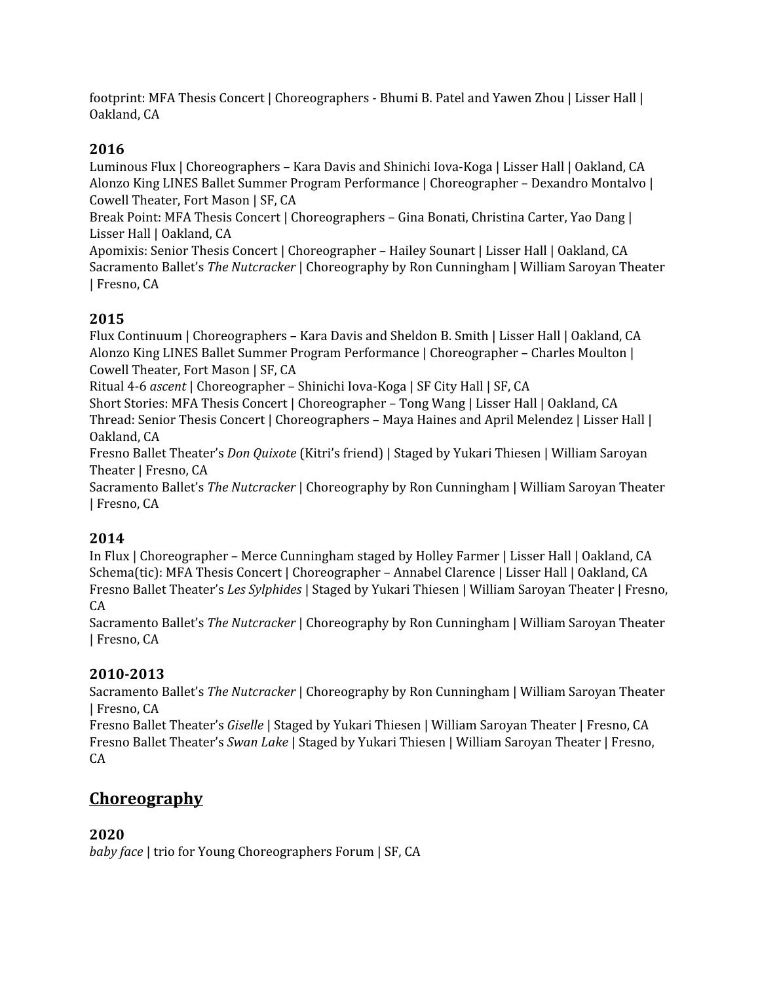footprint: MFA Thesis Concert | Choreographers - Bhumi B. Patel and Yawen Zhou | Lisser Hall | Oakland, CA

## **2016**

Luminous Flux | Choreographers – Kara Davis and Shinichi Iova-Koga | Lisser Hall | Oakland, CA Alonzo King LINES Ballet Summer Program Performance | Choreographer – Dexandro Montalvo | Cowell Theater, Fort Mason | SF, CA

Break Point: MFA Thesis Concert | Choreographers – Gina Bonati, Christina Carter, Yao Dang | Lisser Hall | Oakland, CA

Apomixis: Senior Thesis Concert | Choreographer – Hailey Sounart | Lisser Hall | Oakland, CA Sacramento Ballet's *The Nutcracker* | Choreography by Ron Cunningham | William Saroyan Theater | Fresno, CA

## **2015**

Flux Continuum | Choreographers – Kara Davis and Sheldon B. Smith | Lisser Hall | Oakland, CA Alonzo King LINES Ballet Summer Program Performance | Choreographer – Charles Moulton | Cowell Theater, Fort Mason | SF, CA

Ritual 4-6 *ascent* | Choreographer – Shinichi Iova-Koga | SF City Hall | SF, CA

Short Stories: MFA Thesis Concert | Choreographer – Tong Wang | Lisser Hall | Oakland, CA Thread: Senior Thesis Concert | Choreographers – Maya Haines and April Melendez | Lisser Hall | Oakland, CA

Fresno Ballet Theater's *Don Quixote* (Kitri's friend) | Staged by Yukari Thiesen | William Saroyan Theater | Fresno, CA

Sacramento Ballet's *The Nutcracker* | Choreography by Ron Cunningham | William Saroyan Theater | Fresno, CA

# **2014**

In Flux | Choreographer – Merce Cunningham staged by Holley Farmer | Lisser Hall | Oakland, CA Schema(tic): MFA Thesis Concert | Choreographer – Annabel Clarence | Lisser Hall | Oakland, CA Fresno Ballet Theater's *Les Sylphides* | Staged by Yukari Thiesen | William Saroyan Theater | Fresno, CA

Sacramento Ballet's *The Nutcracker* | Choreography by Ron Cunningham | William Saroyan Theater | Fresno, CA

#### **2010-2013**

Sacramento Ballet's *The Nutcracker* | Choreography by Ron Cunningham | William Saroyan Theater | Fresno, CA

Fresno Ballet Theater's *Giselle* | Staged by Yukari Thiesen | William Saroyan Theater | Fresno, CA Fresno Ballet Theater's *Swan Lake* | Staged by Yukari Thiesen | William Saroyan Theater | Fresno, CA

# **Choreography**

#### **2020**

*baby face* | trio for Young Choreographers Forum | SF, CA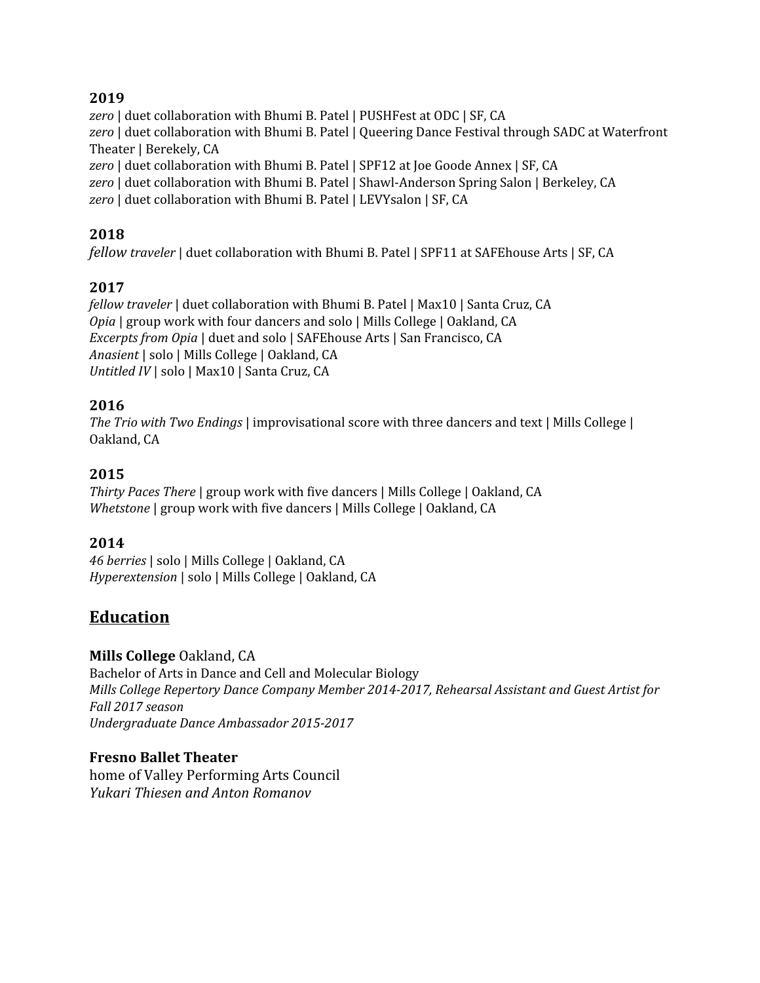#### **2019**

*zero* | duet collaboration with Bhumi B. Patel | PUSHFest at ODC | SF, CA *zero* | duet collaboration with Bhumi B. Patel | Queering Dance Festival through SADC at Waterfront Theater | Berekely, CA

*zero* | duet collaboration with Bhumi B. Patel | SPF12 at Joe Goode Annex | SF, CA

*zero* | duet collaboration with Bhumi B. Patel | Shawl-Anderson Spring Salon | Berkeley, CA

*zero* | duet collaboration with Bhumi B. Patel | LEVYsalon | SF, CA

#### **2018**

*fellow traveler* | duet collaboration with Bhumi B. Patel | SPF11 at SAFEhouse Arts | SF, CA

#### **2017**

*fellow traveler* | duet collaboration with Bhumi B. Patel | Max10 | Santa Cruz, CA *Opia* | group work with four dancers and solo | Mills College | Oakland, CA *Excerpts from Opia* | duet and solo | SAFEhouse Arts | San Francisco, CA *Anasient* | solo | Mills College | Oakland, CA *Untitled IV* | solo | Max10 | Santa Cruz, CA

#### **2016**

*The Trio with Two Endings* | improvisational score with three dancers and text | Mills College | Oakland, CA

#### **2015**

*Thirty Paces There* | group work with five dancers | Mills College | Oakland, CA *Whetstone* | group work with five dancers | Mills College | Oakland, CA

#### **2014**

*46 berries* | solo | Mills College | Oakland, CA *Hyperextension* | solo | Mills College | Oakland, CA

# **Education**

#### **Mills College** Oakland, CA

Bachelor of Arts in Dance and Cell and Molecular Biology *Mills College Repertory Dance Company Member 2014-2017, Rehearsal Assistant and Guest Artist for Fall 2017 season Undergraduate Dance Ambassador 2015-2017*

#### **Fresno Ballet Theater**

home of Valley Performing Arts Council *Yukari Thiesen and Anton Romanov*